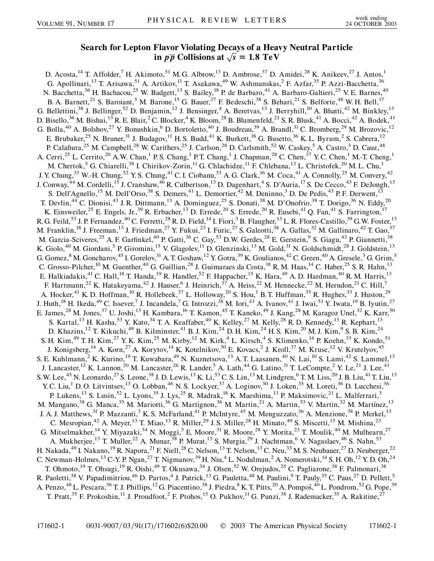## **Search for Lepton Flavor Violating Decays of a Heavy Neutral Particle in**  $p\overline{p}$  Collisions at  $\sqrt{s} = 1.8$  TeV

D. Acosta,<sup>14</sup> T. Affolder,<sup>7</sup> H. Akimoto,<sup>51</sup> M. G. Albrow,<sup>13</sup> D. Ambrose,<sup>37</sup> D. Amidei,<sup>28</sup> K. Anikeev,<sup>27</sup> J. Antos,<sup>1</sup> G. Apollinari,<sup>13</sup> T. Arisawa,<sup>51</sup> A. Artikov,<sup>11</sup> T. Asakawa,<sup>49</sup> W. Ashmanskas,<sup>2</sup> F. Azfar,<sup>35</sup> P. Azzi-Bacchetta,<sup>36</sup> N. Bacchetta,<sup>36</sup> H. Bachacou,<sup>25</sup> W. Badgett,<sup>13</sup> S. Bailey,<sup>18</sup> P. de Barbaro,<sup>41</sup> A. Barbaro-Galtieri,<sup>25</sup> V. E. Barnes,<sup>40</sup> B. A. Barnett,<sup>21</sup> S. Baroiant,<sup>5</sup> M. Barone,<sup>15</sup> G. Bauer,<sup>27</sup> F. Bedeschi,<sup>38</sup> S. Behari,<sup>21</sup> S. Belforte,<sup>48</sup> W. H. Bell,<sup>17</sup> G. Bellettini,<sup>38</sup> J. Bellinger,<sup>52</sup> D. Benjamin,<sup>12</sup> J. Bensinger,<sup>4</sup> A. Beretvas,<sup>13</sup> J. Berryhill,<sup>10</sup> A. Bhatti,<sup>42</sup> M. Binkley,<sup>13</sup> D. Bisello,<sup>36</sup> M. Bishai,<sup>13</sup> R. E. Blair,<sup>2</sup> C. Blocker,<sup>4</sup> K. Bloom,<sup>28</sup> B. Blumenfeld,<sup>21</sup> S. R. Blusk,<sup>41</sup> A. Bocci,<sup>42</sup> A. Bodek,<sup>41</sup> G. Bolla,<sup>40</sup> A. Bolshov,<sup>27</sup> Y. Bonushkin,<sup>6</sup> D. Bortoletto,<sup>40</sup> J. Boudreau,<sup>39</sup> A. Brandl,<sup>31</sup> C. Bromberg,<sup>29</sup> M. Brozovic,<sup>12</sup> E. Brubaker,<sup>25</sup> N. Bruner,<sup>31</sup> J. Budagov,<sup>11</sup> H. S. Budd,<sup>41</sup> K. Burkett,<sup>18</sup> G. Busetto,<sup>36</sup> K. L. Byrum,<sup>2</sup> S. Cabrera,<sup>12</sup> P. Calafiura,<sup>25</sup> M. Campbell,<sup>28</sup> W. Carithers,<sup>25</sup> J. Carlson,<sup>28</sup> D. Carlsmith,<sup>52</sup> W. Caskey,<sup>5</sup> A. Castro,<sup>3</sup> D. Cauz,<sup>48</sup> A. Cerri,<sup>25</sup> L. Cerrito,<sup>20</sup> A.W. Chan,<sup>1</sup> P.S. Chang,<sup>1</sup> P.T. Chang,<sup>1</sup> J. Chapman,<sup>28</sup> C. Chen,<sup>37</sup> Y.C. Chen,<sup>1</sup> M.-T. Cheng,<sup>1</sup> M. Chertok,<sup>5</sup> G. Chiarelli,<sup>38</sup> I. Chirikov-Zorin,<sup>11</sup> G. Chlachidze,<sup>11</sup> F. Chlebana,<sup>13</sup> L. Christofek,<sup>20</sup> M. L. Chu,<sup>1</sup> J.Y. Chung,<sup>33</sup> W.-H. Chung,<sup>52</sup> Y.S. Chung,<sup>41</sup> C.I. Ciobanu,<sup>33</sup> A.G. Clark,<sup>16</sup> M. Coca,<sup>41</sup> A. Connolly,<sup>25</sup> M. Convery,<sup>42</sup> J. Conway,<sup>44</sup> M. Cordelli,<sup>15</sup> J. Cranshaw,<sup>46</sup> R. Culbertson,<sup>13</sup> D. Dagenhart,<sup>4</sup> S. D'Auria,<sup>17</sup> S. De Cecco,<sup>43</sup> F. DeJongh,<sup>13</sup> S. Dell'Agnello,<sup>15</sup> M. Dell'Orso,<sup>38</sup> S. Demers,<sup>41</sup> L. Demortier,<sup>42</sup> M. Deninno,<sup>3</sup> D. De Pedis,<sup>43</sup> P. F. Derwent,<sup>13</sup> T. Devlin,<sup>44</sup> C. Dionisi,<sup>43</sup> J. R. Dittmann,<sup>13</sup> A. Dominguez,<sup>25</sup> S. Donati,<sup>38</sup> M. D'Onofrio,<sup>38</sup> T. Dorigo,<sup>36</sup> N. Eddy,<sup>20</sup> K. Einsweiler,<sup>25</sup> E. Engels, Jr.,<sup>39</sup> R. Erbacher,<sup>13</sup> D. Errede,<sup>20</sup> S. Errede,<sup>20</sup> R. Eusebi,<sup>41</sup> Q. Fan,<sup>41</sup> S. Farrington,<sup>17</sup> R. G. Feild,<sup>53</sup> J. P. Fernandez,<sup>40</sup> C. Ferretti,<sup>28</sup> R. D. Field,<sup>14</sup> I. Fiori,<sup>3</sup> B. Flaugher,<sup>13</sup> L. R. Flores-Castillo,<sup>39</sup> G.W. Foster,<sup>13</sup> M. Franklin,<sup>18</sup> J. Freeman,<sup>13</sup> J. Friedman,<sup>27</sup> Y. Fukui,<sup>23</sup> I. Furic,<sup>27</sup> S. Galeotti,<sup>38</sup> A. Gallas,<sup>32</sup> M. Gallinaro,<sup>42</sup> T. Gao,<sup>37</sup> M. Garcia-Sciveres,<sup>25</sup> A. F. Garfinkel,<sup>40</sup> P. Gatti,<sup>36</sup> C. Gay,<sup>53</sup> D.W. Gerdes,<sup>28</sup> E. Gerstein,<sup>9</sup> S. Giagu,<sup>43</sup> P. Giannetti,<sup>38</sup> K. Giolo,<sup>40</sup> M. Giordani,<sup>5</sup> P. Giromini,<sup>15</sup> V. Glagolev,<sup>11</sup> D. Glenzinski,<sup>13</sup> M. Gold,<sup>31</sup> N. Goldschmidt,<sup>28</sup> J. Goldstein,<sup>13</sup> G. Gomez,  $8$  M. Goncharov,  $45$  I. Gorelov,  $31$  A. T. Goshaw,  $12$  Y. Gotra,  $39$  K. Goulianos,  $42$  C. Green,  $40$  A. Gresele,  $3$  G. Grim,  $5$ C. Grosso-Pilcher,<sup>10</sup> M. Guenther,<sup>40</sup> G. Guillian,<sup>28</sup> J. Guimaraes da Costa,<sup>18</sup> R. M. Haas,<sup>14</sup> C. Haber,<sup>25</sup> S. R. Hahn,<sup>13</sup> E. Halkiadakis,<sup>41</sup> C. Hall,<sup>18</sup> T. Handa,<sup>19</sup> R. Handler,<sup>52</sup> F. Happacher,<sup>15</sup> K. Hara,<sup>49</sup> A.D. Hardman,<sup>40</sup> R.M. Harris,<sup>13</sup> F. Hartmann,<sup>22</sup> K. Hatakeyama,<sup>42</sup> J. Hauser,<sup>6</sup> J. Heinrich,<sup>37</sup> A. Heiss,<sup>22</sup> M. Hennecke,<sup>22</sup> M. Herndon,<sup>21</sup> C. Hill,<sup>7</sup> A. Hocker,<sup>41</sup> K. D. Hoffman,<sup>10</sup> R. Hollebeek,<sup>37</sup> L. Holloway,<sup>20</sup> S. Hou,<sup>1</sup> B. T. Huffman,<sup>35</sup> R. Hughes,<sup>33</sup> J. Huston,<sup>29</sup> J. Huth,<sup>18</sup> H. Ikeda,<sup>49</sup> C. Issever,<sup>7</sup> J. Incandela,<sup>7</sup> G. Introzzi,<sup>38</sup> M. Iori,<sup>43</sup> A. Ivanov,<sup>41</sup> J. Iwai,<sup>51</sup> Y. Iwata,<sup>19</sup> B. Iyutin,<sup>27</sup> E. James,<sup>28</sup> M. Jones,<sup>37</sup> U. Joshi,<sup>13</sup> H. Kambara,<sup>16</sup> T. Kamon,<sup>45</sup> T. Kaneko,<sup>49</sup> J. Kang,<sup>28</sup> M. Karagoz Unel,<sup>32</sup> K. Karr,<sup>50</sup> S. Kartal,<sup>13</sup> H. Kasha,<sup>53</sup> Y. Kato,<sup>34</sup> T. A. Keaffaber,<sup>40</sup> K. Kelley,<sup>27</sup> M. Kelly,<sup>28</sup> R. D. Kennedy,<sup>13</sup> R. Kephart,<sup>13</sup> D. Khazins,<sup>12</sup> T. Kikuchi,<sup>49</sup> B. Kilminster,<sup>41</sup> B. J. Kim,<sup>24</sup> D. H. Kim,<sup>24</sup> H. S. Kim,<sup>20</sup> M. J. Kim,<sup>9</sup> S. B. Kim,<sup>24</sup> S. H. Kim,<sup>49</sup> T. H. Kim,<sup>27</sup> Y. K. Kim,<sup>25</sup> M. Kirby,<sup>12</sup> M. Kirk,<sup>4</sup> L. Kirsch,<sup>4</sup> S. Klimenko,<sup>14</sup> P. Koehn,<sup>33</sup> K. Kondo,<sup>51</sup> J. Konigsberg,<sup>14</sup> A. Korn,<sup>27</sup> A. Korytov,<sup>14</sup> K. Kotelnikov,<sup>30</sup> E. Kovacs,<sup>2</sup> J. Kroll,<sup>37</sup> M. Kruse,<sup>12</sup> V. Krutelyov,<sup>45</sup> S. E. Kuhlmann, <sup>2</sup> K. Kurino, <sup>19</sup> T. Kuwabara, <sup>49</sup> N. Kuznetsova, <sup>13</sup> A. T. Laasanen, <sup>40</sup> N. Lai, <sup>10</sup> S. Lami, <sup>42</sup> S. Lammel, <sup>13</sup> J. Lancaster,<sup>12</sup> K. Lannon,<sup>20</sup> M. Lancaster,<sup>26</sup> R. Lander,<sup>5</sup> A. Lath,<sup>44</sup> G. Latino,<sup>31</sup> T. LeCompte,<sup>2</sup> Y. Le,<sup>21</sup> J. Lee,<sup>41</sup> S.W. Lee,<sup>45</sup> N. Leonardo,<sup>27</sup> S. Leone,<sup>38</sup> J. D. Lewis,<sup>13</sup> K. Li,<sup>53</sup> C. S. Lin,<sup>13</sup> M. Lindgren,<sup>6</sup> T. M. Liss,<sup>20</sup> J. B. Liu,<sup>41</sup> T. Liu,<sup>13</sup> Y. C. Liu,<sup>1</sup> D. O. Litvintsev,<sup>13</sup> O. Lobban,<sup>46</sup> N. S. Lockyer,<sup>37</sup> A. Loginov,<sup>30</sup> J. Loken,<sup>35</sup> M. Loreti,<sup>36</sup> D. Lucchesi,<sup>36</sup> P. Lukens,<sup>13</sup> S. Lusin,<sup>52</sup> L. Lyons,<sup>35</sup> J. Lys,<sup>25</sup> R. Madrak,<sup>18</sup> K. Maeshima,<sup>13</sup> P. Maksimovic,<sup>21</sup> L. Malferrari,<sup>3</sup> M. Mangano,<sup>38</sup> G. Manca,<sup>35</sup> M. Mariotti,<sup>36</sup> G. Martignon,<sup>36</sup> M. Martin,<sup>21</sup> A. Martin,<sup>53</sup> V. Martin,<sup>32</sup> M. Martínez,<sup>13</sup> J. A. J. Matthews,<sup>31</sup> P. Mazzanti,<sup>3</sup> K. S. McFarland,<sup>41</sup> P. McIntyre,<sup>45</sup> M. Menguzzato,<sup>36</sup> A. Menzione,<sup>38</sup> P. Merkel,<sup>13</sup> C. Mesropian,<sup>42</sup> A. Meyer,<sup>13</sup> T. Miao,<sup>13</sup> R. Miller,<sup>29</sup> J. S. Miller,<sup>28</sup> H. Minato,<sup>49</sup> S. Miscetti,<sup>15</sup> M. Mishina,<sup>23</sup> G. Mitselmakher,  $^{14}$  Y. Miyazaki,  $^{34}$  N. Moggi,  $^3$  E. Moore,  $^{31}$  R. Moore,  $^{28}$  Y. Morita,  $^{23}$  T. Moulik,  $^{40}$  M. Mulhearn,  $^{27}$ A. Mukherjee,<sup>13</sup> T. Muller,<sup>22</sup> A. Munar,<sup>38</sup> P. Murat,<sup>13</sup> S. Murgia,<sup>29</sup> J. Nachtman,<sup>6</sup> V. Nagaslaev,<sup>46</sup> S. Nahn,<sup>53</sup> H. Nakada,<sup>49</sup> I. Nakano,<sup>19</sup> R. Napora,<sup>21</sup> F. Niell,<sup>28</sup> C. Nelson,<sup>13</sup> T. Nelson,<sup>13</sup> C. Neu,<sup>33</sup> M. S. Neubauer,<sup>27</sup> D. Neuberger,<sup>22</sup> C. Newman-Holmes,<sup>13</sup> C-Y. P. Ngan,<sup>27</sup> T. Nigmanov,<sup>39</sup> H. Niu,<sup>4</sup> L. Nodulman,<sup>2</sup> A. Nomerotski,<sup>14</sup> S. H. Oh,<sup>12</sup> Y. D. Oh,<sup>24</sup> T. Ohmoto,<sup>19</sup> T. Ohsugi,<sup>19</sup> R. Oishi,<sup>49</sup> T. Okusawa,<sup>34</sup> J. Olsen,<sup>52</sup> W. Orejudos,<sup>25</sup> C. Pagliarone,<sup>38</sup> F. Palmonari,<sup>38</sup> R. Paoletti,<sup>38</sup> V. Papadimitriou,<sup>46</sup> D. Partos,<sup>4</sup> J. Patrick,<sup>13</sup> G. Pauletta,<sup>48</sup> M. Paulini,<sup>9</sup> T. Pauly,<sup>35</sup> C. Paus,<sup>27</sup> D. Pellett,<sup>5</sup> A. Penzo, <sup>48</sup> L. Pescara, <sup>36</sup> T. J. Phillips, <sup>12</sup> G. Piacentino, <sup>38</sup> J. Piedra, <sup>8</sup> K. T. Pitts, <sup>20</sup> A. Pompoš, <sup>40</sup> L. Pondrom, <sup>52</sup> G. Pope, <sup>39</sup> T. Pratt,<sup>35</sup> F. Prokoshin,<sup>11</sup> J. Proudfoot,<sup>2</sup> F. Ptohos,<sup>15</sup> O. Pukhov,<sup>11</sup> G. Punzi,<sup>38</sup> J. Rademacker,<sup>35</sup> A. Rakitine,<sup>27</sup>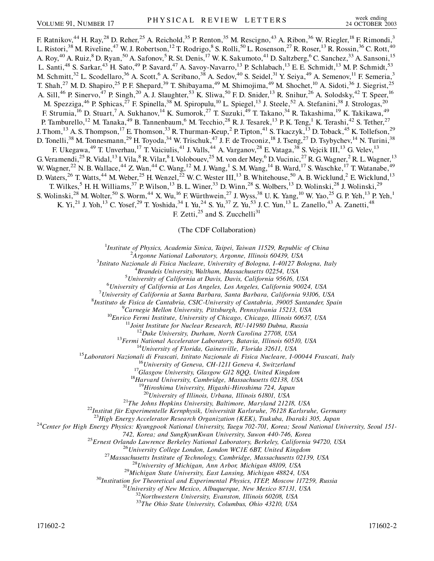F. Ratnikov,<sup>44</sup> H. Ray,<sup>28</sup> D. Reher,<sup>25</sup> A. Reichold,<sup>35</sup> P. Renton,<sup>35</sup> M. Rescigno,<sup>43</sup> A. Ribon,<sup>36</sup> W. Riegler,<sup>18</sup> F. Rimondi,<sup>3</sup> L. Ristori,<sup>38</sup> M. Riveline,<sup>47</sup> W. J. Robertson,<sup>12</sup> T. Rodrigo,<sup>8</sup> S. Rolli,<sup>50</sup> L. Rosenson,<sup>27</sup> R. Roser,<sup>13</sup> R. Rossin,<sup>36</sup> C. Rott,<sup>40</sup> A. Roy,<sup>40</sup> A. Ruiz,<sup>8</sup> D. Ryan,<sup>50</sup> A. Safonov,<sup>5</sup> R. St. Denis,<sup>17</sup> W. K. Sakumoto,<sup>41</sup> D. Saltzberg,<sup>6</sup> C. Sanchez,<sup>33</sup> A. Sansoni,<sup>15</sup> L. Santi,<sup>48</sup> S. Sarkar,<sup>43</sup> H. Sato,<sup>49</sup> P. Savard,<sup>47</sup> A. Savoy-Navarro,<sup>13</sup> P. Schlabach,<sup>13</sup> E. E. Schmidt,<sup>13</sup> M. P. Schmidt,<sup>53</sup> M. Schmitt,<sup>32</sup> L. Scodellaro,<sup>36</sup> A. Scott,<sup>6</sup> A. Scribano,<sup>38</sup> A. Sedov,<sup>40</sup> S. Seidel,<sup>31</sup> Y. Seiya,<sup>49</sup> A. Semenov,<sup>11</sup> F. Semeria,<sup>3</sup> T. Shah,<sup>27</sup> M. D. Shapiro,<sup>25</sup> P. F. Shepard,<sup>39</sup> T. Shibayama,<sup>49</sup> M. Shimojima,<sup>49</sup> M. Shochet,<sup>10</sup> A. Sidoti,<sup>36</sup> J. Siegrist,<sup>25</sup> A. Sill,<sup>46</sup> P. Sinervo,<sup>47</sup> P. Singh,<sup>20</sup> A. J. Slaughter,<sup>53</sup> K. Sliwa,<sup>50</sup> F. D. Snider,<sup>13</sup> R. Snihur,<sup>26</sup> A. Solodsky,<sup>42</sup> T. Speer,<sup>16</sup> M. Spezziga,<sup>46</sup> P. Sphicas,<sup>27</sup> F. Spinella,<sup>38</sup> M. Spiropulu,<sup>10</sup> L. Spiegel,<sup>13</sup> J. Steele,<sup>52</sup> A. Stefanini,<sup>38</sup> J. Strologas,<sup>20</sup> F. Strumia, <sup>16</sup> D. Stuart, <sup>7</sup> A. Sukhanov, <sup>14</sup> K. Sumorok, <sup>27</sup> T. Suzuki, <sup>49</sup> T. Takano, <sup>34</sup> R. Takashima, <sup>19</sup> K. Takikawa, <sup>49</sup> P. Tamburello,<sup>12</sup> M. Tanaka,<sup>49</sup> B. Tannenbaum,<sup>6</sup> M. Tecchio,<sup>28</sup> R. J. Tesarek,<sup>13</sup> P. K. Teng,<sup>1</sup> K. Terashi,<sup>42</sup> S. Tether,<sup>27</sup> J. Thom,<sup>13</sup> A. S. Thompson,<sup>17</sup> E. Thomson,<sup>33</sup> R. Thurman-Keup,<sup>2</sup> P. Tipton,<sup>41</sup> S. Tkaczyk,<sup>13</sup> D. Toback,<sup>45</sup> K. Tollefson,<sup>29</sup> D. Tonelli,<sup>38</sup> M. Tonnesmann,<sup>29</sup> H. Toyoda,<sup>34</sup> W. Trischuk,<sup>47</sup> J. F. de Troconiz,<sup>18</sup> J. Tseng,<sup>27</sup> D. Tsybychev,<sup>14</sup> N. Turini,<sup>38</sup> F. Ukegawa,<sup>49</sup> T. Unverhau,<sup>17</sup> T. Vaiciulis,<sup>41</sup> J. Valls,<sup>44</sup> A. Varganov,<sup>28</sup> E. Vataga,<sup>38</sup> S. Vejcik III,<sup>13</sup> G. Velev,<sup>13</sup> G. Veramendi,<sup>25</sup> R. Vidal,<sup>13</sup> I. Vila,<sup>8</sup> R. Vilar,<sup>8</sup> I. Volobouev,<sup>25</sup> M. von der Mey,<sup>6</sup> D. Vucinic,<sup>27</sup> R. G. Wagner,<sup>2</sup> R. L. Wagner,<sup>13</sup> W. Wagner,<sup>22</sup> N. B. Wallace,<sup>44</sup> Z. Wan,<sup>44</sup> C. Wang,<sup>12</sup> M. J. Wang,<sup>1</sup> S. M. Wang,<sup>14</sup> B. Ward,<sup>17</sup> S. Waschke,<sup>17</sup> T. Watanabe,<sup>49</sup> D. Waters,<sup>26</sup> T. Watts,<sup>44</sup> M. Weber,<sup>25</sup> H. Wenzel,<sup>22</sup> W. C. Wester III,<sup>13</sup> B. Whitehouse,<sup>50</sup> A. B. Wicklund,<sup>2</sup> E. Wicklund,<sup>13</sup> T. Wilkes,<sup>5</sup> H. H. Williams,<sup>37</sup> P. Wilson,<sup>13</sup> B. L. Winer,<sup>33</sup> D. Winn,<sup>28</sup> S. Wolbers,<sup>13</sup> D. Wolinski,<sup>28</sup> J. Wolinski,<sup>29</sup> S. Wolinski,<sup>28</sup> M. Wolter,<sup>50</sup> S. Worm,<sup>44</sup> X. Wu,<sup>16</sup> F. Würthwein,<sup>27</sup> J. Wyss,<sup>38</sup> U. K. Yang,<sup>10</sup> W. Yao,<sup>25</sup> G. P. Yeh,<sup>13</sup> P. Yeh,<sup>1</sup> K. Yi,<sup>21</sup> J. Yoh,<sup>13</sup> C. Yosef,<sup>29</sup> T. Yoshida,<sup>34</sup> I. Yu,<sup>24</sup> S. Yu,<sup>37</sup> Z. Yu,<sup>53</sup> J. C. Yun,<sup>13</sup> L. Zanello,<sup>43</sup> A. Zanetti,<sup>48</sup> F. Zetti, $^{25}$  and S. Zucchelli<sup>31</sup>

(The CDF Collaboration)

<sup>1</sup>*Institute of Physics, Academia Sinica, Taipei, Taiwan 11529, Republic of China*<br><sup>2</sup><sup>4</sup> *Legang Mational Laboratory, Argonne, Illinois 60439, USA* 

*Argonne National Laboratory, Argonne, Illinois 60439, USA* <sup>3</sup>

*Istituto Nazionale di Fisica Nucleare, University of Bologna, I-40127 Bologna, Italy* <sup>4</sup>

<sup>4</sup> Brandeis University, Waltham, Massachusetts 02254, USA

*University of California at Davis, Davis, California 95616, USA* <sup>6</sup>

*University of California at Los Angeles, Los Angeles, California 90024, USA* <sup>7</sup>

*University of California at Santa Barbara, Santa Barbara, California 93106, USA* <sup>8</sup>

*Instituto de Fisica de Cantabria, CSIC-University of Cantabria, 39005 Santander, Spain* <sup>9</sup>

<sup>9</sup>Carnegie Mellon University, Pittsburgh, Pennsylvania 15213, USA<br><sup>10</sup>Enrico Fermi Institute, University of Chicago, Chicago, Illinois 60637, USA<br><sup>11</sup>Joint Institute for Nuclear Research, RU-141980 Dubna, Russia<br><sup>12</sup>Duke

<sup>18</sup>Harvard University, Cambridge, Massachusetts 02138, USA<br><sup>19</sup>Hiroshima University, Higashi-Hiroshima 724, Japan<br><sup>20</sup>University of Illinois, Urbana, Illinois 61801, USA

<sup>21</sup>The Johns Hopkins University, Baltimore, Maryland 21218, USA<br><sup>22</sup>Institut für Experimentelle Kernphysik, Universität Karlsruhe, 76128 Karlsruhe, Germany<br><sup>23</sup>High Energy Accelerator Research Organization (KEK), Tsukuba

742, Korea; and SungKyunKwan University, Suwon 440-746, Korea<br>
<sup>25</sup> Ernest Orlando Lawrence Berkeley National Laboratory, Berkeley, California 94720, USA<br>
<sup>26</sup> University College London, London WCIE 6BT, United Kingdom<br>
<sup></sup>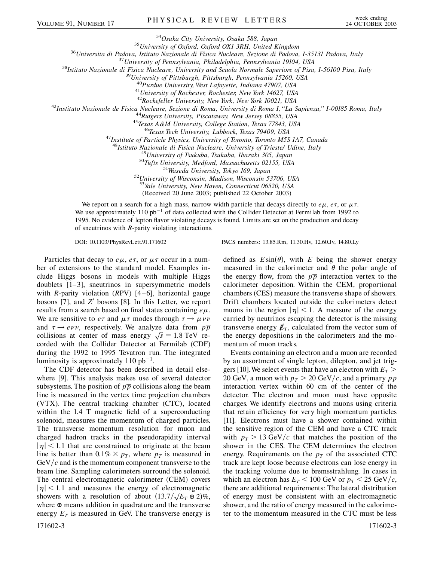<sup>34</sup>Osaka City University, Osaka 588, Japan<br><sup>35</sup>Universita di Padova, Istituto Nazionale di Fisica Nucleare, Sezione di Padova, I-35131 Padova, Italy<br><sup>37</sup>University of Pennsylvania, Philadelphia, Pennsylvania 19104, USA<br><sup></sup>

<sup>43</sup>Instituto Nazionale de Fisica Nucleare, Sezione di Roma, University di Roma I, "La Sapienza," I-00185 Roma, Italy<br><sup>44</sup>Rutgers University, Piscataway, New Jersey 08855, USA<br><sup>45</sup>Texas A&M University, College Station, Te

<sup>48</sup>Istituto Nazionale di Fisica Nucleare, University of Trieste/ Udine, Italy<br><sup>49</sup>University of Tsukuba, Tsukuba, Ibaraki 305, Japan<br><sup>50</sup>Tufts University, Medford, Massachusetts 02155, USA<br><sup>51</sup>Waseda University, Tokyo 16

<sup>53</sup>*Yale University, New Haven, Connecticut 06520, USA*

(Received 20 June 2003; published 22 October 2003)

We report on a search for a high mass, narrow width particle that decays directly to  $e\mu$ ,  $e\tau$ , or  $\mu\tau$ . We use approximately 110 pb<sup>-1</sup> of data collected with the Collider Detector at Fermilab from 1992 to 1995. No evidence of lepton flavor violating decays is found. Limits are set on the production and decay of sneutrinos with *R*-parity violating interactions.

DOI: 10.1103/PhysRevLett.91.171602 PACS numbers: 13.85.Rm, 11.30.Hv, 12.60.Jv, 14.80.Ly

Particles that decay to  $e\mu$ ,  $e\tau$ , or  $\mu\tau$  occur in a number of extensions to the standard model. Examples include Higgs bosons in models with multiple Higgs doublets [1–3], sneutrinos in supersymmetric models with *R*-parity violation (*R*PV) [4–6], horizontal gauge bosons [7], and  $Z'$  bosons [8]. In this Letter, we report results from a search based on final states containing  $e\mu$ . We are sensitive to  $e\tau$  and  $\mu\tau$  modes through  $\tau \rightarrow \mu \nu \nu$ and  $\tau \rightarrow e \nu \nu$ , respectively. We analyze data from  $p\overline{p}$ and  $\tau \rightarrow e \nu \nu$ , respectively. We analyze data from pp<br>collisions at center of mass energy  $\sqrt{s} = 1.8$  TeV recorded with the Collider Detector at Fermilab (CDF) during the 1992 to 1995 Tevatron run. The integrated luminosity is approximately 110  $pb^{-1}$ .

The CDF detector has been described in detail elsewhere [9]. This analysis makes use of several detector subsystems. The position of  $p\overline{p}$  collisions along the beam line is measured in the vertex time projection chambers (VTX). The central tracking chamber (CTC), located within the 1.4 T magnetic field of a superconducting solenoid, measures the momentum of charged particles. The transverse momentum resolution for muon and charged hadron tracks in the pseudorapidity interval  $|\eta|$  < 1.1 that are constrained to originate at the beam line is better than  $0.1\% \times p_T$ , where  $p_T$  is measured in  $GeV/c$  and is the momentum component transverse to the beam line. Sampling calorimeters surround the solenoid. The central electromagnetic calorimeter (CEM) covers  $|\eta|$  < 1.1 and measures the energy of electromagnetic showers with a resolution of about  $(13.7/\sqrt{E_T} \oplus 2)\%$ , where  $\oplus$  means addition in quadrature and the transverse energy  $E_T$  is measured in GeV. The transverse energy is 171602-3 171602-3

defined as  $E \sin(\theta)$ , with *E* being the shower energy measured in the calorimeter and  $\theta$  the polar angle of the energy flow, from the  $p\overline{p}$  interaction vertex to the calorimeter deposition. Within the CEM, proportional chambers (CES) measure the transverse shape of showers. Drift chambers located outside the calorimeters detect muons in the region  $|\eta|$  < 1. A measure of the energy carried by neutrinos escaping the detector is the missing transverse energy  $\not{E}_T$ , calculated from the vector sum of the energy depositions in the calorimeters and the momentum of muon tracks.

Events containing an electron and a muon are recorded by an assortment of single lepton, dilepton, and jet triggers [10]. We select events that have an electron with  $E_T$  > 20 GeV, a muon with  $p_T > 20$  GeV/c, and a primary  $p\overline{p}$ interaction vertex within 60 cm of the center of the detector. The electron and muon must have opposite charges. We identify electrons and muons using criteria that retain efficiency for very high momentum particles [11]. Electrons must have a shower contained within the sensitive region of the CEM and have a CTC track with  $p_T > 13 \text{ GeV}/c$  that matches the position of the shower in the CES. The CEM determines the electron energy. Requirements on the  $p<sub>T</sub>$  of the associated CTC track are kept loose because electrons can lose energy in the tracking volume due to bremsstrahlung. In cases in which an electron has  $E_T < 100$  GeV or  $p_T < 25$  GeV/c, there are additional requirements: The lateral distribution of energy must be consistent with an electromagnetic shower, and the ratio of energy measured in the calorimeter to the momentum measured in the CTC must be less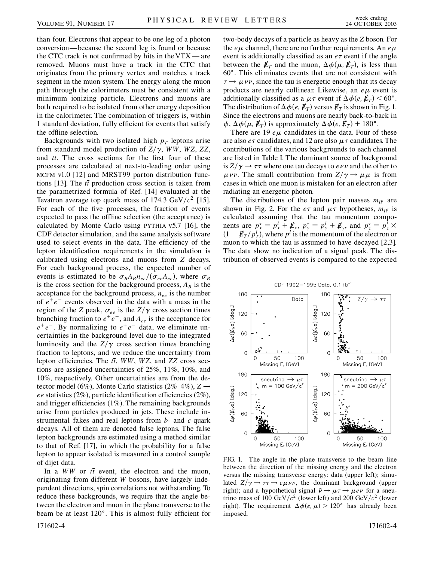than four. Electrons that appear to be one leg of a photon conversion—because the second leg is found or because the CTC track is not confirmed by hits in the VTX — are removed. Muons must have a track in the CTC that originates from the primary vertex and matches a track segment in the muon system. The energy along the muon path through the calorimeters must be consistent with a minimum ionizing particle. Electrons and muons are both required to be isolated from other energy deposition in the calorimeter. The combination of triggers is, within 1 standard deviation, fully efficient for events that satisfy the offline selection.

Backgrounds with two isolated high  $p_T$  leptons arise from standard model production of  $Z/\gamma$ , *WW*, *WZ*, *ZZ*, and *tt*. The cross sections for the first four of these processes are calculated at next-to-leading order using MCFM v1.0 [12] and MRST99 parton distribution functions [13]. The  $t\bar{t}$  production cross section is taken from the parametrized formula of Ref. [14] evaluated at the Tevatron average top quark mass of 174.3 GeV/ $c^2$  [15]. For each of the five processes, the fraction of events expected to pass the offline selection (the acceptance) is calculated by Monte Carlo using PYTHIA v5.7 [16], the CDF detector simulation, and the same analysis software used to select events in the data. The efficiency of the lepton identification requirements in the simulation is calibrated using electrons and muons from *Z* decays. For each background process, the expected number of events is estimated to be  $\sigma_B A_B n_{ee} / (\sigma_{ee} A_{ee})$ , where  $\sigma_B$ is the cross section for the background process,  $A_B$  is the acceptance for the background process,  $n_{ee}$  is the number of  $e^+e^-$  events observed in the data with a mass in the region of the *Z* peak,  $\sigma_{ee}$  is the  $Z/\gamma$  cross section times branching fraction to  $e^+e^-$ , and  $A_{ee}$  is the acceptance for  $e^+e^-$ . By normalizing to  $e^+e^-$  data, we eliminate uncertainties in the background level due to the integrated luminosity and the  $Z/\gamma$  cross section times branching fraction to leptons, and we reduce the uncertainty from lepton efficiencies. The *tt*, *WW*, *WZ*, and *ZZ* cross sections are assigned uncertainties of 25%, 11%, 10%, and 10%, respectively. Other uncertainties are from the detector model (6%), Monte Carlo statistics (2%–4%),  $Z \rightarrow$ *ee* statistics (2%), particle identification efficiencies (2%), and trigger efficiencies (1%). The remaining backgrounds arise from particles produced in jets. These include instrumental fakes and real leptons from *b*- and *c*-quark decays. All of them are denoted false leptons. The false lepton backgrounds are estimated using a method similar to that of Ref. [17], in which the probability for a false lepton to appear isolated is measured in a control sample of dijet data.

In a *WW* or  $t\bar{t}$  event, the electron and the muon, originating from different *W* bosons, have largely independent directions, spin correlations not withstanding. To reduce these backgrounds, we require that the angle between the electron and muon in the plane transverse to the beam be at least 120 . This is almost fully efficient for two-body decays of a particle as heavy as the *Z* boson. For the  $e\mu$  channel, there are no further requirements. An  $e\mu$ event is additionally classified as an  $e\tau$  event if the angle between the  $\not{\!\mathcal{E}}_T$  and the muon,  $\Delta \phi(\mu, \mathcal{E}_T)$ , is less than 60 . This eliminates events that are not consistent with  $\tau \rightarrow \mu \nu \nu$ , since the tau is energetic enough that its decay products are nearly collinear. Likewise, an  $e\mu$  event is additionally classified as a  $\mu \tau$  event if  $\Delta \phi(e, E_T)$  < 60°. The distribution of  $\Delta \phi(e, E_T)$  versus  $E_T$  is shown in Fig. 1. Since the electrons and muons are nearly back-to-back in  $\phi$ ,  $\Delta\phi(\mu, \mathbf{E}_T)$  is approximately  $\Delta\phi(e, \mathbf{E}_T)$  + 180°.

There are 19  $e\mu$  candidates in the data. Four of these are also  $e\tau$  candidates, and 12 are also  $\mu\tau$  candidates. The contributions of the various backgrounds to each channel are listed in Table I. The dominant source of background is  $Z/\gamma \rightarrow \tau \tau$  where one tau decays to  $e \nu \nu$  and the other to  $\mu \nu \nu$ . The small contribution from  $Z/\gamma \rightarrow \mu \mu$  is from cases in which one muon is mistaken for an electron after radiating an energetic photon.

The distributions of the lepton pair masses  $m_{ll'}$  are shown in Fig. 2. For the  $e\tau$  and  $\mu\tau$  hypotheses,  $m_{ll'}$  is calculated assuming that the tau momentum components are  $p_x^{\tau} = p_x^l + \boldsymbol{E}_x$ ,  $p_y^{\tau} = p_y^l + \boldsymbol{E}_y$ , and  $p_z^{\tau} = p_z^l \times$  $(1 + \mathbf{E}_T/p_T^l)$ , where  $p^l$  is the momentum of the electron or muon to which the tau is assumed to have decayed [2,3]. The data show no indication of a signal peak. The distribution of observed events is compared to the expected



FIG. 1. The angle in the plane transverse to the beam line between the direction of the missing energy and the electron versus the missing transverse energy: data (upper left); simulated  $Z/\gamma \rightarrow \tau \tau \rightarrow e \mu \nu \nu$ , the dominant background (upper right); and a hypothetical signal  $\tilde{\nu} \rightarrow \mu \tau \rightarrow \mu e \nu$  for a sneutrino mass of 100 GeV/ $c^2$  (lower left) and 200 GeV/ $c^2$  (lower right). The requirement  $\Delta \phi(e, \mu) > 120^{\circ}$  has already been imposed.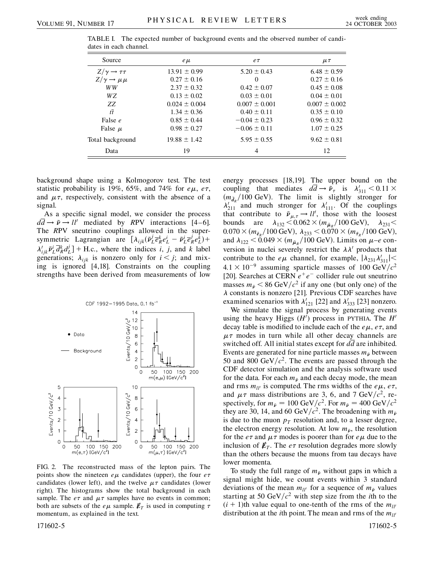| Source                           | $e\mu$            | $e\tau$           | $\mu\tau$         |
|----------------------------------|-------------------|-------------------|-------------------|
| $Z/\gamma \rightarrow \tau \tau$ | $13.91 \pm 0.99$  | $5.20 \pm 0.43$   | $6.48 \pm 0.59$   |
| $Z/\gamma \rightarrow \mu \mu$   | $0.27 \pm 0.16$   | $\theta$          | $0.27 \pm 0.16$   |
| WW                               | $2.37 \pm 0.32$   | $0.42 \pm 0.07$   | $0.45 \pm 0.08$   |
| WZ                               | $0.13 \pm 0.02$   | $0.03 \pm 0.01$   | $0.04 \pm 0.01$   |
| ZZ.                              | $0.024 \pm 0.004$ | $0.007 \pm 0.001$ | $0.007 \pm 0.002$ |
| $t\bar{t}$                       | $1.34 \pm 0.36$   | $0.40 \pm 0.11$   | $0.35 \pm 0.10$   |
| False e                          | $0.85 \pm 0.44$   | $-0.04 \pm 0.23$  | $0.96 \pm 0.32$   |
| False $\mu$                      | $0.98 \pm 0.27$   | $-0.06 \pm 0.11$  | $1.07 \pm 0.25$   |
| Total background                 | $19.88 \pm 1.42$  | $5.95 \pm 0.55$   | $9.62 \pm 0.81$   |
| Data                             | 19                | 4                 | 12                |

TABLE I. The expected number of background events and the observed number of candidates in each channel.

background shape using a Kolmogorov test. The test statistic probability is 19%, 65%, and 74% for  $e\mu$ ,  $e\tau$ , and  $\mu\tau$ , respectively, consistent with the absence of a signal.

As a specific signal model, we consider the process  $d\overline{d} \rightarrow \tilde{\nu} \rightarrow ll'$  mediated by *RPV* interactions [4–6]. The *R*PV sneutrino couplings allowed in the supersymmetric Lagrangian are  $\left[ \lambda_{ijk} (\tilde{\nu}_L^j \overline{e}_R^k e_L^i - \tilde{\nu}_L^i \overline{e}_R^j e_L^k) + \right]$  $\lambda'_{ijk}\tilde{\nu}_L^i \overline{d}_R^k d_L^j$  + H.c., where the indices *i*, *j*, and *k* label generations;  $\lambda_{ijk}$  is nonzero only for  $i < j$ ; and mixing is ignored [4,18]. Constraints on the coupling strengths have been derived from measurements of low



FIG. 2. The reconstructed mass of the lepton pairs. The points show the nineteen  $e\mu$  candidates (upper), the four  $e\tau$ candidates (lower left), and the twelve  $\mu\tau$  candidates (lower right). The histograms show the total background in each sample. The  $e\tau$  and  $\mu\tau$  samples have no events in common; both are subsets of the  $e\mu$  sample.  $\not\hspace{-.15cm}/\,F_T$  is used in computing  $\tau$ momentum, as explained in the text.

energy processes [18,19]. The upper bound on the coupling that mediates  $d\overline{d} \rightarrow \tilde{\nu}_{\tau}$  is  $\lambda'_{311} < 0.11 \times$  $(m_{\tilde{d}_R}/100 \text{ GeV})$ . The limit is slightly stronger for  $\lambda'_{211}$  and much stronger for  $\lambda'_{111}$ . Of the couplings that contribute to  $\tilde{\nu}_{\mu,\tau} \rightarrow ll'$ , those with the loosest bounds are  $\lambda_{132} < 0.062 \times (m_{\tilde{\mu}_R}/100 \text{ GeV}), \lambda_{231} <$  $0.070 \times (m_{\tilde{e}_R}/100 \text{ GeV}), \ \lambda_{233} \leq 0.070 \times (m_{\tilde{\tau}_R}/100 \text{ GeV}),$ and  $\lambda_{122}$  < 0.049  $\times$  ( $m_{\tilde{\mu}_R}$ /100 GeV). Limits on  $\mu$ –*e* conversion in nuclei severely restrict the  $\lambda \lambda'$  products that contribute to the  $e\mu$  channel, for example,  $|\lambda_{231}\lambda'_{311}|$  <  $4.1 \times 10^{-9}$  assuming sparticle masses of 100 GeV/ $c^2$ [20]. Searches at CERN  $e^+e^-$  collider rule out sneutrino masses  $m_{\tilde{v}} < 86 \text{ GeV}/c^2$  if any one (but only one) of the  $\lambda$  constants is nonzero [21]. Previous CDF searches have examined scenarios with  $\lambda'_{121}$  [22] and  $\lambda'_{333}$  [23] nonzero.

We simulate the signal process by generating events using the heavy Higgs  $(H')$  process in PYTHIA. The  $H'$ decay table is modified to include each of the  $e\mu$ ,  $e\tau$ , and  $\mu\tau$  modes in turn while all other decay channels are switched off. All initial states except for *dd* are inhibited. Events are generated for nine particle masses  $m_{\tilde{\nu}}$  between 50 and 800 GeV/ $c^2$ . The events are passed through the CDF detector simulation and the analysis software used for the data. For each  $m_{\tilde{v}}$  and each decay mode, the mean and rms  $m_{ll}$  is computed. The rms widths of the *e* $\mu$ , *e* $\tau$ , and  $\mu\tau$  mass distributions are 3, 6, and 7 GeV/ $c^2$ , respectively, for  $m_{\tilde{p}} = 100 \text{ GeV}/c^2$ . For  $m_{\tilde{p}} = 400 \text{ GeV}/c^2$ they are 30, 14, and 60 GeV/ $c^2$ . The broadening with  $m_{\tilde{\nu}}$ is due to the muon  $p_T$  resolution and, to a lesser degree, the electron energy resolution. At low  $m_{\tilde{\nu}}$ , the resolution for the  $e\tau$  and  $\mu\tau$  modes is poorer than for  $e\mu$  due to the inclusion of  $\not \! \! E_T$ . The *e* $\tau$  resolution degrades more slowly than the others because the muons from tau decays have lower momenta.

To study the full range of  $m_{\tilde{\nu}}$  without gaps in which a signal might hide, we count events within 3 standard deviations of the mean  $m_{ll'}$  for a sequence of  $m_{\tilde{\nu}}$  values starting at 50 GeV/ $c^2$  with step size from the *i*th to the  $(i + 1)$ th value equal to one-tenth of the rms of the  $m_{1}$ <sup>n</sup> distribution at the *i*th point. The mean and rms of the  $m_{ll'}$